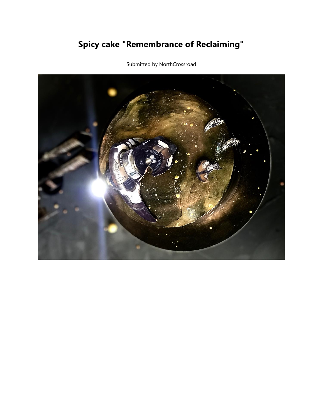# **Spicy cake "Remembrance of Reclaiming"**



Submitted by NorthCrossroad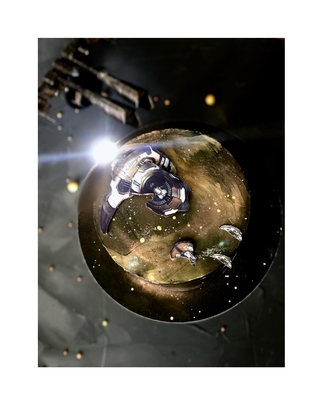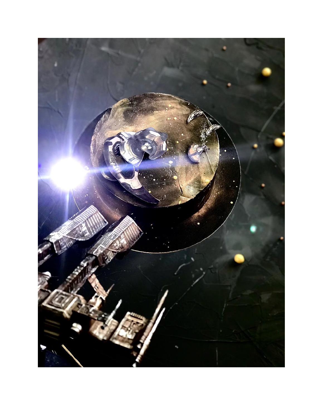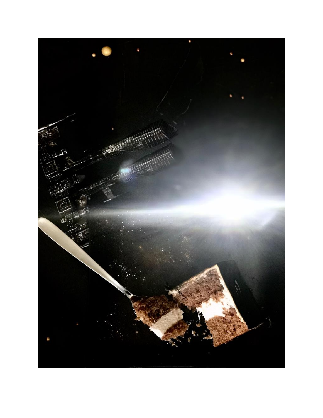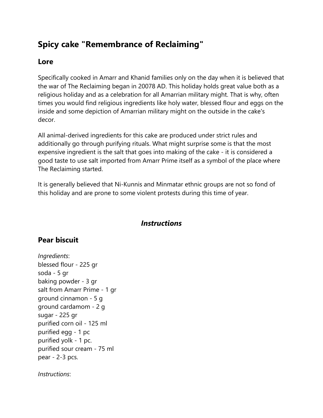# **Spicy cake "Remembrance of Reclaiming"**

#### **Lore**

Specifically cooked in Amarr and Khanid families only on the day when it is believed that the war of The Reclaiming began in 20078 AD. This holiday holds great value both as a religious holiday and as a celebration for all Amarrian military might. That is why, often times you would find religious ingredients like holy water, blessed flour and eggs on the inside and some depiction of Amarrian military might on the outside in the cake's decor.

All animal-derived ingredients for this cake are produced under strict rules and additionally go through purifying rituals. What might surprise some is that the most expensive ingredient is the salt that goes into making of the cake - it is considered a good taste to use salt imported from Amarr Prime itself as a symbol of the place where The Reclaiming started.

It is generally believed that Ni-Kunnis and Minmatar ethnic groups are not so fond of this holiday and are prone to some violent protests during this time of year.

#### *Instructions*

#### **Pear biscuit**

*Ingredients*: blessed flour - 225 gr soda - 5 gr baking powder - 3 gr salt from Amarr Prime - 1 gr ground cinnamon - 5 g ground cardamom - 2 g sugar - 225 gr purified corn oil - 125 ml purified egg - 1 pc purified yolk - 1 pc. purified sour cream - 75 ml pear - 2-3 pcs.

*Instructions*: